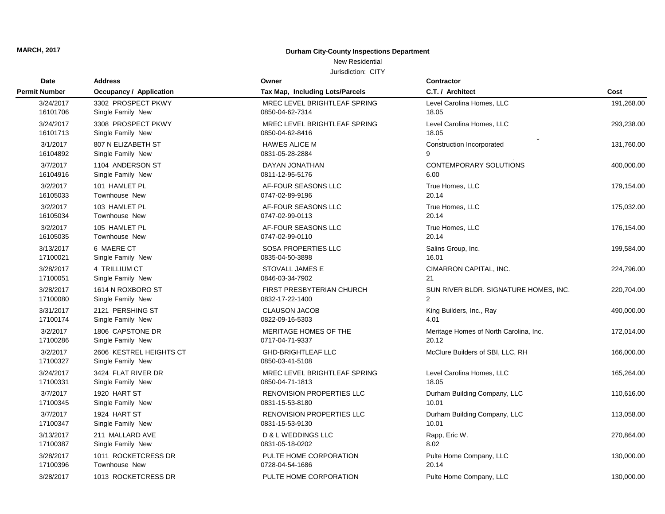# **Durham City-County Inspections Department**

# New Residential

| Date                 | <b>Address</b>                 | Owner                            | Contractor                             |            |
|----------------------|--------------------------------|----------------------------------|----------------------------------------|------------|
| <b>Permit Number</b> | <b>Occupancy / Application</b> | Tax Map, Including Lots/Parcels  | C.T. / Architect                       | Cost       |
| 3/24/2017            | 3302 PROSPECT PKWY             | MREC LEVEL BRIGHTLEAF SPRING     | Level Carolina Homes, LLC              | 191,268.00 |
| 16101706             | Single Family New              | 0850-04-62-7314                  | 18.05                                  |            |
| 3/24/2017            | 3308 PROSPECT PKWY             | MREC LEVEL BRIGHTLEAF SPRING     | Level Carolina Homes, LLC              | 293,238.00 |
| 16101713             | Single Family New              | 0850-04-62-8416                  | 18.05                                  |            |
| 3/1/2017             | 807 N ELIZABETH ST             | <b>HAWES ALICE M</b>             | Construction Incorporated              | 131,760.00 |
| 16104892             | Single Family New              | 0831-05-28-2884                  | 9                                      |            |
| 3/7/2017             | 1104 ANDERSON ST               | DAYAN JONATHAN                   | CONTEMPORARY SOLUTIONS                 | 400,000.00 |
| 16104916             | Single Family New              | 0811-12-95-5176                  | 6.00                                   |            |
| 3/2/2017             | 101 HAMLET PL                  | AF-FOUR SEASONS LLC              | True Homes, LLC                        | 179,154.00 |
| 16105033             | Townhouse New                  | 0747-02-89-9196                  | 20.14                                  |            |
| 3/2/2017             | 103 HAMLET PL                  | AF-FOUR SEASONS LLC              | True Homes, LLC                        | 175,032.00 |
| 16105034             | Townhouse New                  | 0747-02-99-0113                  | 20.14                                  |            |
| 3/2/2017             | 105 HAMLET PL                  | AF-FOUR SEASONS LLC              | True Homes, LLC                        | 176,154.00 |
| 16105035             | Townhouse New                  | 0747-02-99-0110                  | 20.14                                  |            |
| 3/13/2017            | 6 MAERE CT                     | SOSA PROPERTIES LLC              | Salins Group, Inc.                     | 199,584.00 |
| 17100021             | Single Family New              | 0835-04-50-3898                  | 16.01                                  |            |
| 3/28/2017            | 4 TRILLIUM CT                  | STOVALL JAMES E                  | CIMARRON CAPITAL, INC.                 | 224,796.00 |
| 17100051             | Single Family New              | 0846-03-34-7902                  | 21                                     |            |
| 3/28/2017            | 1614 N ROXBORO ST              | <b>FIRST PRESBYTERIAN CHURCH</b> | SUN RIVER BLDR. SIGNATURE HOMES, INC.  | 220,704.00 |
| 17100080             | Single Family New              | 0832-17-22-1400                  | 2                                      |            |
| 3/31/2017            | 2121 PERSHING ST               | <b>CLAUSON JACOB</b>             | King Builders, Inc., Ray               | 490,000.00 |
| 17100174             | Single Family New              | 0822-09-16-5303                  | 4.01                                   |            |
| 3/2/2017             | 1806 CAPSTONE DR               | MERITAGE HOMES OF THE            | Meritage Homes of North Carolina, Inc. | 172,014.00 |
| 17100286             | Single Family New              | 0717-04-71-9337                  | 20.12                                  |            |
| 3/2/2017             | 2606 KESTREL HEIGHTS CT        | <b>GHD-BRIGHTLEAF LLC</b>        | McClure Builders of SBI, LLC, RH       | 166,000.00 |
| 17100327             | Single Family New              | 0850-03-41-5108                  |                                        |            |
| 3/24/2017            | 3424 FLAT RIVER DR             | MREC LEVEL BRIGHTLEAF SPRING     | Level Carolina Homes, LLC              | 165,264.00 |
| 17100331             | Single Family New              | 0850-04-71-1813                  | 18.05                                  |            |
| 3/7/2017             | 1920 HART ST                   | <b>RENOVISION PROPERTIES LLC</b> | Durham Building Company, LLC           | 110,616.00 |
| 17100345             | Single Family New              | 0831-15-53-8180                  | 10.01                                  |            |
| 3/7/2017             | 1924 HART ST                   | <b>RENOVISION PROPERTIES LLC</b> | Durham Building Company, LLC           | 113,058.00 |
| 17100347             | Single Family New              | 0831-15-53-9130                  | 10.01                                  |            |
| 3/13/2017            | 211 MALLARD AVE                | D & L WEDDINGS LLC               | Rapp, Eric W.                          | 270,864.00 |
| 17100387             | Single Family New              | 0831-05-18-0202                  | 8.02                                   |            |
| 3/28/2017            | 1011 ROCKETCRESS DR            | PULTE HOME CORPORATION           | Pulte Home Company, LLC                | 130,000.00 |
| 17100396             | Townhouse New                  | 0728-04-54-1686                  | 20.14                                  |            |
| 3/28/2017            | 1013 ROCKETCRESS DR            | PULTE HOME CORPORATION           | Pulte Home Company, LLC                | 130,000.00 |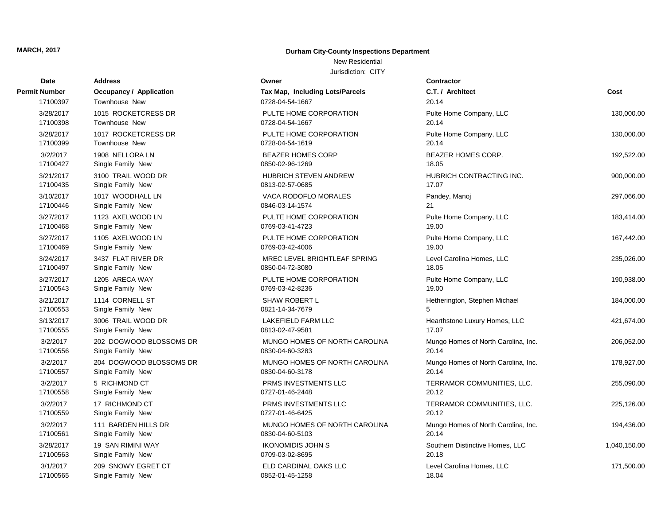# **Durham City-County Inspections Department**

# New Residential

| Date          | <b>Address</b>                 | Owner                           | Contractor                          |              |
|---------------|--------------------------------|---------------------------------|-------------------------------------|--------------|
| Permit Number | <b>Occupancy / Application</b> | Tax Map, Including Lots/Parcels | C.T. / Architect                    | Cost         |
| 17100397      | Townhouse New                  | 0728-04-54-1667                 | 20.14                               |              |
| 3/28/2017     | 1015 ROCKETCRESS DR            | PULTE HOME CORPORATION          | Pulte Home Company, LLC             | 130,000.00   |
| 17100398      | <b>Townhouse New</b>           | 0728-04-54-1667                 | 20.14                               |              |
| 3/28/2017     | 1017 ROCKETCRESS DR            | PULTE HOME CORPORATION          | Pulte Home Company, LLC             | 130,000.00   |
| 17100399      | Townhouse New                  | 0728-04-54-1619                 | 20.14                               |              |
| 3/2/2017      | 1908 NELLORA LN                | <b>BEAZER HOMES CORP</b>        | BEAZER HOMES CORP.                  | 192,522.00   |
| 17100427      | Single Family New              | 0850-02-96-1269                 | 18.05                               |              |
| 3/21/2017     | 3100 TRAIL WOOD DR             | HUBRICH STEVEN ANDREW           | HUBRICH CONTRACTING INC.            | 900,000.00   |
| 17100435      | Single Family New              | 0813-02-57-0685                 | 17.07                               |              |
| 3/10/2017     | 1017 WOODHALL LN               | VACA RODOFLO MORALES            | Pandey, Manoj                       | 297,066.00   |
| 17100446      | Single Family New              | 0846-03-14-1574                 | 21                                  |              |
| 3/27/2017     | 1123 AXELWOOD LN               | PULTE HOME CORPORATION          | Pulte Home Company, LLC             | 183,414.00   |
| 17100468      | Single Family New              | 0769-03-41-4723                 | 19.00                               |              |
| 3/27/2017     | 1105 AXELWOOD LN               | PULTE HOME CORPORATION          | Pulte Home Company, LLC             | 167,442.00   |
| 17100469      | Single Family New              | 0769-03-42-4006                 | 19.00                               |              |
| 3/24/2017     | 3437 FLAT RIVER DR             | MREC LEVEL BRIGHTLEAF SPRING    | Level Carolina Homes, LLC           | 235,026.00   |
| 17100497      | Single Family New              | 0850-04-72-3080                 | 18.05                               |              |
| 3/27/2017     | 1205 ARECA WAY                 | PULTE HOME CORPORATION          | Pulte Home Company, LLC             | 190,938.00   |
| 17100543      | Single Family New              | 0769-03-42-8236                 | 19.00                               |              |
| 3/21/2017     | 1114 CORNELL ST                | <b>SHAW ROBERT L</b>            | Hetherington, Stephen Michael       | 184,000.00   |
| 17100553      | Single Family New              | 0821-14-34-7679                 | 5                                   |              |
| 3/13/2017     | 3006 TRAIL WOOD DR             | LAKEFIELD FARM LLC              | Hearthstone Luxury Homes, LLC       | 421,674.00   |
| 17100555      | Single Family New              | 0813-02-47-9581                 | 17.07                               |              |
| 3/2/2017      | 202 DOGWOOD BLOSSOMS DR        | MUNGO HOMES OF NORTH CAROLINA   | Mungo Homes of North Carolina, Inc. | 206,052.00   |
| 17100556      | Single Family New              | 0830-04-60-3283                 | 20.14                               |              |
| 3/2/2017      | 204 DOGWOOD BLOSSOMS DR        | MUNGO HOMES OF NORTH CAROLINA   | Mungo Homes of North Carolina, Inc. | 178,927.00   |
| 17100557      | Single Family New              | 0830-04-60-3178                 | 20.14                               |              |
| 3/2/2017      | 5 RICHMOND CT                  | PRMS INVESTMENTS LLC            | TERRAMOR COMMUNITIES, LLC.          | 255,090.00   |
| 17100558      | Single Family New              | 0727-01-46-2448                 | 20.12                               |              |
| 3/2/2017      | 17 RICHMOND CT                 | PRMS INVESTMENTS LLC            | TERRAMOR COMMUNITIES, LLC.          | 225,126.00   |
| 17100559      | Single Family New              | 0727-01-46-6425                 | 20.12                               |              |
| 3/2/2017      | 111 BARDEN HILLS DR            | MUNGO HOMES OF NORTH CAROLINA   | Mungo Homes of North Carolina, Inc. | 194,436.00   |
| 17100561      | Single Family New              | 0830-04-60-5103                 | 20.14                               |              |
| 3/28/2017     | 19 SAN RIMINI WAY              | <b>IKONOMIDIS JOHN S</b>        | Southern Distinctive Homes, LLC     | 1,040,150.00 |
| 17100563      | Single Family New              | 0709-03-02-8695                 | 20.18                               |              |
| 3/1/2017      | 209 SNOWY EGRET CT             | ELD CARDINAL OAKS LLC           | Level Carolina Homes, LLC           | 171,500.00   |
| 17100565      | Single Family New              | 0852-01-45-1258                 | 18.04                               |              |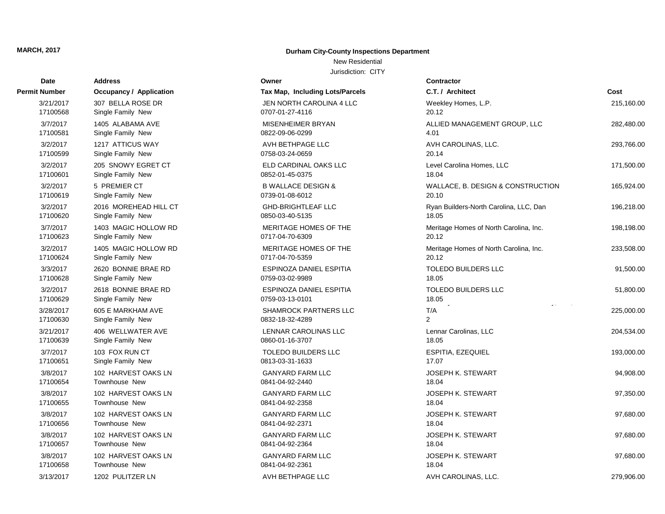# **Date Contractor Address Owner Permit Number COCCUPANCY** / Application **Tax Map, Including Lots- COCCUPANCY** / Application 17100658 Townhouse New 0841-04-92-2361 17100657 Townhouse New 2012 19:00:00 0841-04-92-2364 3/8/2017 102 HARVEST OAKS LN GANYARD FARI 17100656 Townhouse New 0841-04-92-2371 17100655 Townhouse New 2012 19:00:00 0841-04-92-2358 3/8/2017 102 HARVEST OAKS LN GANYARD FARI 17100654 Townhouse New 0841-04-92-2440 3/8/2017 102 HARVEST OAKS LN GANYARD FARI 17100651 Single Family New 0813-03-31-1633 3/8/2017 102 HARVEST OAKS LN GANYARD FARI 17100639 Single Family New 0860-01-16-3707 17100630 Single Family New 0832-18-32-4289 3/21/2017 406 WELLWATER AVE LENNAR CAROLINAS 17100629 Single Family New 0759-03-13-0101 3/28/2017 605 E MARKHAM AVE **SHAMROCK PARTICLE** 17100628 Single Family New 0759-03-02-9989 3/2/2017 2618 BONNIE BRAE RD ESPINOZA DAN 17100624 Single Family New 20117-04-70-5359 3/3/2017 2620 BONNIE BRAE RD ESPINOZA DAN 17100623 Single Family New 0717-04-70-6309 3/2/2017 1405 MAGIC HOLLOW RD MERITAGE HOMES OF THE MERITAGE HOMES OF THE MERITAGE HOMES OF THE MERITAGE OF TH 17100620 Single Family New 0850-03-40-5135 3/7/2017 1403 MAGIC HOLLOW RD MERITAGE HOMES OF THE MERITAGE HOMES OF THE MERITAGE HOMES OF THE MERITAGE OF TH 17100619 Single Family New 0739-01-08-6012 3/2/2017 2016 MOREHEAD HILL CT GHD-BRIGHTLE 17100601 Single Family New 0852-01-45-0375 17100599 Single Family New 20158-03-24-0659 3/2/2017 205 SNOWY EGRET CT ELD CARDINAL 17100581 Single Family New 2012 10:00:00 0822-09-06-0299 3/2/2017 1217 ATTICUS WAY AVH BETHPAG 17100568 Single Family New 0707-01-27-4116 3/21/2017 307 BELLA ROSE DR JEN NORTH CA

#### **Durham City-County Inspections Department**

New Residential

| Number               | Occupancy / Application                  | Tax Map, Including Lots/Parcels            | C.T. / Architect                                                  | Cost       |
|----------------------|------------------------------------------|--------------------------------------------|-------------------------------------------------------------------|------------|
| 3/21/2017            | 307 BELLA ROSE DR                        | JEN NORTH CAROLINA 4 LLC                   | Weekley Homes, L.P.                                               | 215,160.00 |
| 17100568             | Single Family New                        | 0707-01-27-4116                            | 20.12                                                             |            |
| 3/7/2017             | 1405 ALABAMA AVE                         | <b>MISENHEIMER BRYAN</b>                   | ALLIED MANAGEMENT GROUP, LLC                                      | 282,480.00 |
| 17100581             | Single Family New                        | 0822-09-06-0299                            | 4.01                                                              |            |
| 3/2/2017             | 1217 ATTICUS WAY                         | AVH BETHPAGE LLC                           | AVH CAROLINAS, LLC.                                               | 293,766.00 |
| 17100599             | Single Family New                        | 0758-03-24-0659                            | 20.14                                                             |            |
| 3/2/2017             | 205 SNOWY EGRET CT                       | ELD CARDINAL OAKS LLC                      | Level Carolina Homes, LLC                                         | 171,500.00 |
| 17100601             | Single Family New                        | 0852-01-45-0375                            | 18.04                                                             |            |
| 3/2/2017             | 5 PREMIER CT                             | <b>B WALLACE DESIGN &amp;</b>              | WALLACE, B. DESIGN & CONSTRUCTION                                 | 165,924.00 |
| 17100619             | Single Family New                        | 0739-01-08-6012                            | 20.10                                                             |            |
| 3/2/2017             | 2016 MOREHEAD HILL CT                    | <b>GHD-BRIGHTLEAF LLC</b>                  | Ryan Builders-North Carolina, LLC, Dan                            | 196,218.00 |
| 17100620             | Single Family New                        | 0850-03-40-5135                            | 18.05                                                             |            |
| 3/7/2017             | 1403 MAGIC HOLLOW RD                     | MERITAGE HOMES OF THE                      | Meritage Homes of North Carolina, Inc.                            | 198,198.00 |
| 17100623             | Single Family New                        | 0717-04-70-6309                            | 20.12                                                             |            |
| 3/2/2017             | 1405 MAGIC HOLLOW RD                     | MERITAGE HOMES OF THE                      | Meritage Homes of North Carolina, Inc.                            | 233,508.00 |
| 17100624             | Single Family New                        | 0717-04-70-5359                            | 20.12                                                             |            |
| 3/3/2017             | 2620 BONNIE BRAE RD                      | ESPINOZA DANIEL ESPITIA                    | <b>TOLEDO BUILDERS LLC</b>                                        | 91,500.00  |
| 17100628             | Single Family New                        | 0759-03-02-9989                            | 18.05                                                             |            |
| 3/2/2017<br>17100629 | 2618 BONNIE BRAE RD<br>Single Family New | ESPINOZA DANIEL ESPITIA<br>0759-03-13-0101 | <b>TOLEDO BUILDERS LLC</b><br>18.05<br>$\mathcal{L}(\mathcal{A})$ | 51,800.00  |
| 3/28/2017            | 605 E MARKHAM AVE                        | SHAMROCK PARTNERS LLC                      | T/A                                                               | 225,000.00 |
| 17100630             | Single Family New                        | 0832-18-32-4289                            | $\overline{2}$                                                    |            |
| 3/21/2017            | 406 WELLWATER AVE                        | LENNAR CAROLINAS LLC                       | Lennar Carolinas, LLC                                             | 204,534.00 |
| 17100639             | Single Family New                        | 0860-01-16-3707                            | 18.05                                                             |            |
| 3/7/2017             | 103 FOX RUN CT                           | <b>TOLEDO BUILDERS LLC</b>                 | ESPITIA, EZEQUIEL                                                 | 193,000.00 |
| 17100651             | Single Family New                        | 0813-03-31-1633                            | 17.07                                                             |            |
| 3/8/2017             | 102 HARVEST OAKS LN                      | <b>GANYARD FARM LLC</b>                    | JOSEPH K. STEWART                                                 | 94,908.00  |
| 17100654             | Townhouse New                            | 0841-04-92-2440                            | 18.04                                                             |            |
| 3/8/2017             | 102 HARVEST OAKS LN                      | <b>GANYARD FARM LLC</b>                    | <b>JOSEPH K. STEWART</b>                                          | 97,350.00  |
| 17100655             | Townhouse New                            | 0841-04-92-2358                            | 18.04                                                             |            |
| 3/8/2017             | 102 HARVEST OAKS LN                      | <b>GANYARD FARM LLC</b>                    | <b>JOSEPH K. STEWART</b>                                          | 97,680.00  |
| 17100656             | Townhouse New                            | 0841-04-92-2371                            | 18.04                                                             |            |
| 3/8/2017             | 102 HARVEST OAKS LN                      | <b>GANYARD FARM LLC</b>                    | JOSEPH K. STEWART                                                 | 97,680.00  |
| 17100657             | Townhouse New                            | 0841-04-92-2364                            | 18.04                                                             |            |
| 3/8/2017             | 102 HARVEST OAKS LN                      | <b>GANYARD FARM LLC</b>                    | JOSEPH K. STEWART                                                 | 97,680.00  |
| 17100658             | Townhouse New                            | 0841-04-92-2361                            | 18.04                                                             |            |
| 3/13/2017            | 1202 PULITZER LN                         | AVH BETHPAGE LLC                           | AVH CAROLINAS, LLC.                                               | 279.906.00 |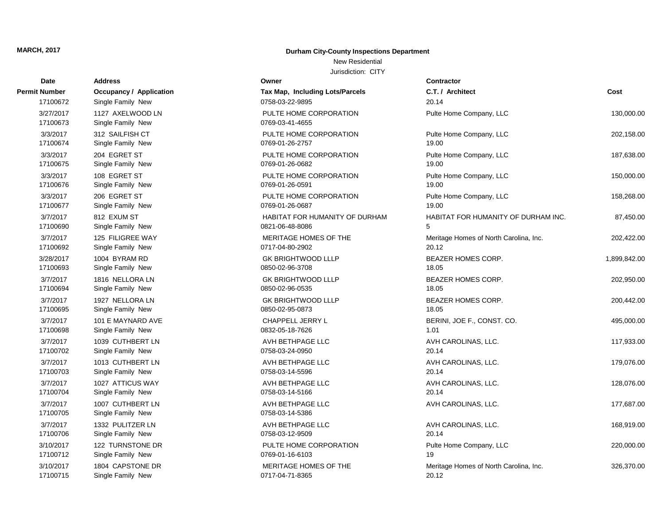## **Durham City-County Inspections Department**

## New Residential

| Date                  | <b>Address</b>                        | Owner                                     | <b>Contractor</b>                      |              |
|-----------------------|---------------------------------------|-------------------------------------------|----------------------------------------|--------------|
| Permit Number         | <b>Occupancy / Application</b>        | Tax Map, Including Lots/Parcels           | C.T. / Architect                       | Cost         |
| 17100672              | Single Family New                     | 0758-03-22-9895                           | 20.14                                  |              |
| 3/27/2017<br>17100673 | 1127 AXELWOOD LN<br>Single Family New | PULTE HOME CORPORATION<br>0769-03-41-4655 | Pulte Home Company, LLC                | 130,000.00   |
| 3/3/2017              | 312 SAILFISH CT                       | PULTE HOME CORPORATION                    | Pulte Home Company, LLC                | 202,158.00   |
| 17100674              | Single Family New                     | 0769-01-26-2757                           | 19.00                                  |              |
| 3/3/2017              | 204 EGRET ST                          | PULTE HOME CORPORATION                    | Pulte Home Company, LLC                | 187,638.00   |
| 17100675              | Single Family New                     | 0769-01-26-0682                           | 19.00                                  |              |
| 3/3/2017              | 108 EGRET ST                          | PULTE HOME CORPORATION                    | Pulte Home Company, LLC                | 150,000.00   |
| 17100676              | Single Family New                     | 0769-01-26-0591                           | 19.00                                  |              |
| 3/3/2017              | 206 EGRET ST                          | PULTE HOME CORPORATION                    | Pulte Home Company, LLC                | 158,268.00   |
| 17100677              | Single Family New                     | 0769-01-26-0687                           | 19.00                                  |              |
| 3/7/2017              | 812 EXUM ST                           | <b>HABITAT FOR HUMANITY OF DURHAM</b>     | HABITAT FOR HUMANITY OF DURHAM INC.    | 87,450.00    |
| 17100690              | Single Family New                     | 0821-06-48-8086                           | 5                                      |              |
| 3/7/2017              | 125 FILIGREE WAY                      | MERITAGE HOMES OF THE                     | Meritage Homes of North Carolina, Inc. | 202,422.00   |
| 17100692              | Single Family New                     | 0717-04-80-2902                           | 20.12                                  |              |
| 3/28/2017             | 1004 BYRAM RD                         | <b>GK BRIGHTWOOD LLLP</b>                 | BEAZER HOMES CORP.                     | 1,899,842.00 |
| 17100693              | Single Family New                     | 0850-02-96-3708                           | 18.05                                  |              |
| 3/7/2017              | 1816 NELLORA LN                       | <b>GK BRIGHTWOOD LLLP</b>                 | BEAZER HOMES CORP.                     | 202,950.00   |
| 17100694              | Single Family New                     | 0850-02-96-0535                           | 18.05                                  |              |
| 3/7/2017              | 1927 NELLORA LN                       | <b>GK BRIGHTWOOD LLLP</b>                 | <b>BEAZER HOMES CORP.</b>              | 200,442.00   |
| 17100695              | Single Family New                     | 0850-02-95-0873                           | 18.05                                  |              |
| 3/7/2017              | 101 E MAYNARD AVE                     | <b>CHAPPELL JERRY L</b>                   | BERINI, JOE F., CONST. CO.             | 495,000.00   |
| 17100698              | Single Family New                     | 0832-05-18-7626                           | 1.01                                   |              |
| 3/7/2017              | 1039 CUTHBERT LN                      | AVH BETHPAGE LLC                          | AVH CAROLINAS, LLC.                    | 117,933.00   |
| 17100702              | Single Family New                     | 0758-03-24-0950                           | 20.14                                  |              |
| 3/7/2017              | 1013 CUTHBERT LN                      | AVH BETHPAGE LLC                          | AVH CAROLINAS, LLC.                    | 179,076.00   |
| 17100703              | Single Family New                     | 0758-03-14-5596                           | 20.14                                  |              |
| 3/7/2017              | 1027 ATTICUS WAY                      | AVH BETHPAGE LLC                          | AVH CAROLINAS, LLC.                    | 128,076.00   |
| 17100704              | Single Family New                     | 0758-03-14-5166                           | 20.14                                  |              |
| 3/7/2017<br>17100705  | 1007 CUTHBERT LN<br>Single Family New | AVH BETHPAGE LLC<br>0758-03-14-5386       | AVH CAROLINAS, LLC.                    | 177,687.00   |
| 3/7/2017              | 1332 PULITZER LN                      | AVH BETHPAGE LLC                          | AVH CAROLINAS, LLC.                    | 168,919.00   |
| 17100706              | Single Family New                     | 0758-03-12-9509                           | 20.14                                  |              |
| 3/10/2017             | 122 TURNSTONE DR                      | PULTE HOME CORPORATION                    | Pulte Home Company, LLC                | 220,000.00   |
| 17100712              | Single Family New                     | 0769-01-16-6103                           | 19                                     |              |
| 3/10/2017             | 1804 CAPSTONE DR                      | MERITAGE HOMES OF THE                     | Meritage Homes of North Carolina, Inc. | 326,370.00   |
| 17100715              | Single Family New                     | 0717-04-71-8365                           | 20.12                                  |              |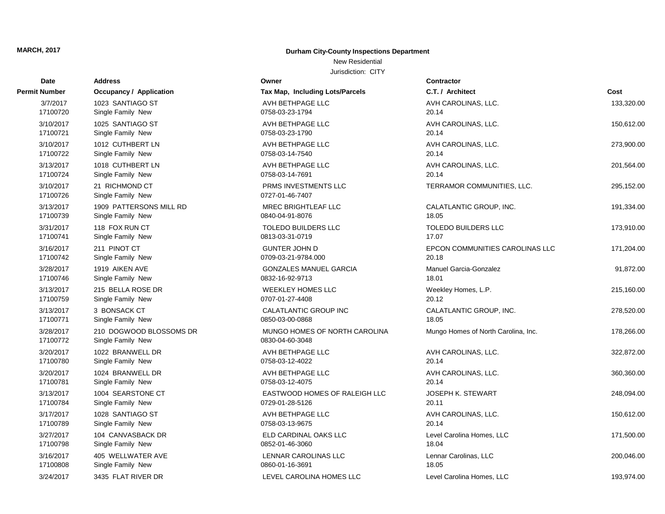# **Durham City-County Inspections Department**

# New Residential

| Date                  | <b>Address</b>                    | Owner                                       | <b>Contractor</b>                        |            |
|-----------------------|-----------------------------------|---------------------------------------------|------------------------------------------|------------|
| Permit Number         | <b>Occupancy / Application</b>    | Tax Map, Including Lots/Parcels             | C.T. / Architect                         | Cost       |
| 3/7/2017              | 1023 SANTIAGO ST                  | AVH BETHPAGE LLC                            | AVH CAROLINAS, LLC.                      | 133,320.00 |
| 17100720              | Single Family New                 | 0758-03-23-1794                             | 20.14                                    |            |
| 3/10/2017             | 1025 SANTIAGO ST                  | AVH BETHPAGE LLC                            | AVH CAROLINAS, LLC.                      | 150,612.00 |
| 17100721              | Single Family New                 | 0758-03-23-1790                             | 20.14                                    |            |
| 3/10/2017             | 1012 CUTHBERT LN                  | AVH BETHPAGE LLC                            | AVH CAROLINAS, LLC.                      | 273,900.00 |
| 17100722              | Single Family New                 | 0758-03-14-7540                             | 20.14                                    |            |
| 3/13/2017             | 1018 CUTHBERT LN                  | AVH BETHPAGE LLC                            | AVH CAROLINAS, LLC.                      | 201,564.00 |
| 17100724              | Single Family New                 | 0758-03-14-7691                             | 20.14                                    |            |
| 3/10/2017             | 21 RICHMOND CT                    | PRMS INVESTMENTS LLC                        | TERRAMOR COMMUNITIES, LLC.               | 295,152.00 |
| 17100726              | Single Family New                 | 0727-01-46-7407                             |                                          |            |
| 3/13/2017             | 1909 PATTERSONS MILL RD           | <b>MREC BRIGHTLEAF LLC</b>                  | CALATLANTIC GROUP, INC.                  | 191,334.00 |
| 17100739              | Single Family New                 | 0840-04-91-8076                             | 18.05                                    |            |
| 3/31/2017<br>17100741 | 118 FOX RUN CT                    | TOLEDO BUILDERS LLC<br>0813-03-31-0719      | <b>TOLEDO BUILDERS LLC</b><br>17.07      | 173,910.00 |
|                       | Single Family New                 |                                             |                                          |            |
| 3/16/2017<br>17100742 | 211 PINOT CT<br>Single Family New | <b>GUNTER JOHN D</b><br>0709-03-21-9784.000 | EPCON COMMUNITIES CAROLINAS LLC<br>20.18 | 171,204.00 |
| 3/28/2017             | 1919 AIKEN AVE                    | <b>GONZALES MANUEL GARCIA</b>               | Manuel Garcia-Gonzalez                   |            |
| 17100746              | Single Family New                 | 0832-16-92-9713                             | 18.01                                    | 91,872.00  |
| 3/13/2017             | 215 BELLA ROSE DR                 | <b>WEEKLEY HOMES LLC</b>                    | Weekley Homes, L.P.                      | 215,160.00 |
| 17100759              | Single Family New                 | 0707-01-27-4408                             | 20.12                                    |            |
| 3/13/2017             | 3 BONSACK CT                      | CALATLANTIC GROUP INC                       | CALATLANTIC GROUP, INC.                  | 278,520.00 |
| 17100771              | Single Family New                 | 0850-03-00-0868                             | 18.05                                    |            |
| 3/28/2017             | 210 DOGWOOD BLOSSOMS DR           | MUNGO HOMES OF NORTH CAROLINA               | Mungo Homes of North Carolina, Inc.      | 178,266.00 |
| 17100772              | Single Family New                 | 0830-04-60-3048                             |                                          |            |
| 3/20/2017             | 1022 BRANWELL DR                  | AVH BETHPAGE LLC                            | AVH CAROLINAS, LLC.                      | 322,872.00 |
| 17100780              | Single Family New                 | 0758-03-12-4022                             | 20.14                                    |            |
| 3/20/2017             | 1024 BRANWELL DR                  | AVH BETHPAGE LLC                            | AVH CAROLINAS, LLC.                      | 360,360.00 |
| 17100781              | Single Family New                 | 0758-03-12-4075                             | 20.14                                    |            |
| 3/13/2017             | 1004 SEARSTONE CT                 | EASTWOOD HOMES OF RALEIGH LLC               | JOSEPH K. STEWART                        | 248,094.00 |
| 17100784              | Single Family New                 | 0729-01-28-5126                             | 20.11                                    |            |
| 3/17/2017             | 1028 SANTIAGO ST                  | AVH BETHPAGE LLC                            | AVH CAROLINAS, LLC.                      | 150,612.00 |
| 17100789              | Single Family New                 | 0758-03-13-9675                             | 20.14                                    |            |
| 3/27/2017             | 104 CANVASBACK DR                 | ELD CARDINAL OAKS LLC                       | Level Carolina Homes, LLC                | 171,500.00 |
| 17100798              | Single Family New                 | 0852-01-46-3060                             | 18.04                                    |            |
| 3/16/2017             | 405 WELLWATER AVE                 | LENNAR CAROLINAS LLC                        | Lennar Carolinas, LLC                    | 200,046.00 |
| 17100808              | Single Family New                 | 0860-01-16-3691                             | 18.05                                    |            |
| 3/24/2017             | 3435 FLAT RIVER DR                | LEVEL CAROLINA HOMES LLC                    | Level Carolina Homes, LLC                | 193,974.00 |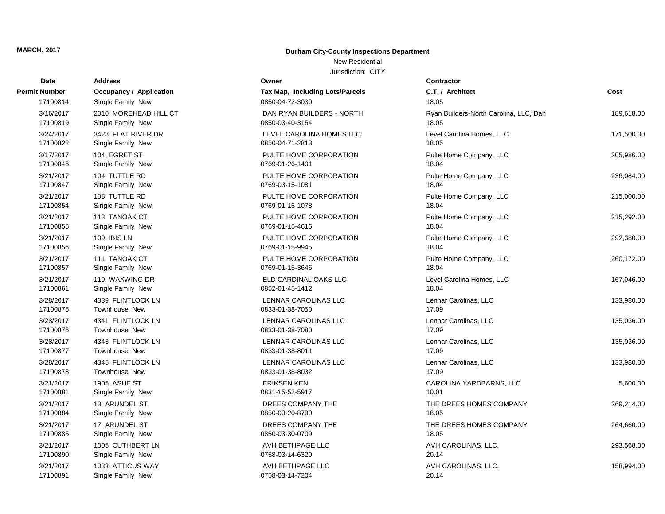#### **Durham City-County Inspections Department**

New Residential

| <b>Date</b>          | <b>Address</b>          | Owner                           | Contractor                             |            |
|----------------------|-------------------------|---------------------------------|----------------------------------------|------------|
| <b>Permit Number</b> | Occupancy / Application | Tax Map, Including Lots/Parcels | C.T. / Architect                       | Cost       |
| 17100814             | Single Family New       | 0850-04-72-3030                 | 18.05                                  |            |
| 3/16/2017            | 2010 MOREHEAD HILL CT   | DAN RYAN BUILDERS - NORTH       | Ryan Builders-North Carolina, LLC, Dan | 189,618.00 |
| 17100819             | Single Family New       | 0850-03-40-3154                 | 18.05                                  |            |
| 3/24/2017            | 3428 FLAT RIVER DR      | LEVEL CAROLINA HOMES LLC        | Level Carolina Homes, LLC              | 171,500.00 |
| 17100822             | Single Family New       | 0850-04-71-2813                 | 18.05                                  |            |
| 3/17/2017            | 104 EGRET ST            | PULTE HOME CORPORATION          | Pulte Home Company, LLC                | 205,986.00 |
| 17100846             | Single Family New       | 0769-01-26-1401                 | 18.04                                  |            |
| 3/21/2017            | 104 TUTTLE RD           | PULTE HOME CORPORATION          | Pulte Home Company, LLC                | 236,084.00 |
| 17100847             | Single Family New       | 0769-03-15-1081                 | 18.04                                  |            |
| 3/21/2017            | 108 TUTTLE RD           | PULTE HOME CORPORATION          | Pulte Home Company, LLC                | 215,000.00 |
| 17100854             | Single Family New       | 0769-01-15-1078                 | 18.04                                  |            |
| 3/21/2017            | 113 TANOAK CT           | PULTE HOME CORPORATION          | Pulte Home Company, LLC                | 215,292.00 |
| 17100855             | Single Family New       | 0769-01-15-4616                 | 18.04                                  |            |
| 3/21/2017            | 109 IBIS LN             | PULTE HOME CORPORATION          | Pulte Home Company, LLC                | 292,380.00 |
| 17100856             | Single Family New       | 0769-01-15-9945                 | 18.04                                  |            |
| 3/21/2017            | 111 TANOAK CT           | PULTE HOME CORPORATION          | Pulte Home Company, LLC                | 260,172.00 |
| 17100857             | Single Family New       | 0769-01-15-3646                 | 18.04                                  |            |
| 3/21/2017            | 119 WAXWING DR          | ELD CARDINAL OAKS LLC           | Level Carolina Homes, LLC              | 167,046.00 |
| 17100861             | Single Family New       | 0852-01-45-1412                 | 18.04                                  |            |
| 3/28/2017            | 4339 FLINTLOCK LN       | LENNAR CAROLINAS LLC            | Lennar Carolinas, LLC                  | 133,980.00 |
| 17100875             | Townhouse New           | 0833-01-38-7050                 | 17.09                                  |            |
| 3/28/2017            | 4341 FLINTLOCK LN       | LENNAR CAROLINAS LLC            | Lennar Carolinas, LLC                  | 135,036.00 |
| 17100876             | <b>Townhouse New</b>    | 0833-01-38-7080                 | 17.09                                  |            |
| 3/28/2017            | 4343 FLINTLOCK LN       | LENNAR CAROLINAS LLC            | Lennar Carolinas, LLC                  | 135,036.00 |
| 17100877             | <b>Townhouse New</b>    | 0833-01-38-8011                 | 17.09                                  |            |
| 3/28/2017            | 4345 FLINTLOCK LN       | LENNAR CAROLINAS LLC            | Lennar Carolinas, LLC                  | 133,980.00 |
| 17100878             | <b>Townhouse New</b>    | 0833-01-38-8032                 | 17.09                                  |            |
| 3/21/2017            | 1905 ASHE ST            | <b>ERIKSEN KEN</b>              | CAROLINA YARDBARNS, LLC                | 5,600.00   |
| 17100881             | Single Family New       | 0831-15-52-5917                 | 10.01                                  |            |
| 3/21/2017            | 13 ARUNDEL ST           | DREES COMPANY THE               | THE DREES HOMES COMPANY                | 269,214.00 |
| 17100884             | Single Family New       | 0850-03-20-8790                 | 18.05                                  |            |
| 3/21/2017            | 17 ARUNDEL ST           | DREES COMPANY THE               | THE DREES HOMES COMPANY                | 264,660.00 |
| 17100885             | Single Family New       | 0850-03-30-0709                 | 18.05                                  |            |
| 3/21/2017            | 1005 CUTHBERT LN        | AVH BETHPAGE LLC                | AVH CAROLINAS, LLC.                    | 293,568.00 |
| 17100890             | Single Family New       | 0758-03-14-6320                 | 20.14                                  |            |
| 3/21/2017            | 1033 ATTICUS WAY        | AVH BETHPAGE LLC                | AVH CAROLINAS, LLC.                    | 158,994.00 |
| 17100891             | Single Family New       | 0758-03-14-7204                 | 20.14                                  |            |